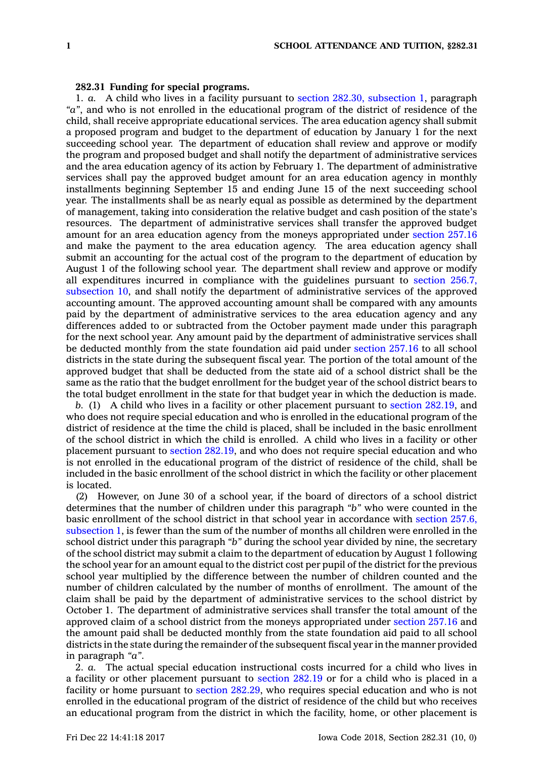## **282.31 Funding for special programs.**

1. *a.* A child who lives in <sup>a</sup> facility pursuant to section 282.30, [subsection](https://www.legis.iowa.gov/docs/code/282.30.pdf) 1, paragraph *"a"*, and who is not enrolled in the educational program of the district of residence of the child, shall receive appropriate educational services. The area education agency shall submit <sup>a</sup> proposed program and budget to the department of education by January 1 for the next succeeding school year. The department of education shall review and approve or modify the program and proposed budget and shall notify the department of administrative services and the area education agency of its action by February 1. The department of administrative services shall pay the approved budget amount for an area education agency in monthly installments beginning September 15 and ending June 15 of the next succeeding school year. The installments shall be as nearly equal as possible as determined by the department of management, taking into consideration the relative budget and cash position of the state's resources. The department of administrative services shall transfer the approved budget amount for an area education agency from the moneys appropriated under [section](https://www.legis.iowa.gov/docs/code/257.16.pdf) 257.16 and make the payment to the area education agency. The area education agency shall submit an accounting for the actual cost of the program to the department of education by August 1 of the following school year. The department shall review and approve or modify all expenditures incurred in compliance with the guidelines pursuant to [section](https://www.legis.iowa.gov/docs/code/256.7.pdf) 256.7, [subsection](https://www.legis.iowa.gov/docs/code/256.7.pdf) 10, and shall notify the department of administrative services of the approved accounting amount. The approved accounting amount shall be compared with any amounts paid by the department of administrative services to the area education agency and any differences added to or subtracted from the October payment made under this paragraph for the next school year. Any amount paid by the department of administrative services shall be deducted monthly from the state foundation aid paid under [section](https://www.legis.iowa.gov/docs/code/257.16.pdf) 257.16 to all school districts in the state during the subsequent fiscal year. The portion of the total amount of the approved budget that shall be deducted from the state aid of <sup>a</sup> school district shall be the same as the ratio that the budget enrollment for the budget year of the school district bears to the total budget enrollment in the state for that budget year in which the deduction is made.

*b.* (1) A child who lives in <sup>a</sup> facility or other placement pursuant to section [282.19](https://www.legis.iowa.gov/docs/code/282.19.pdf), and who does not require special education and who is enrolled in the educational program of the district of residence at the time the child is placed, shall be included in the basic enrollment of the school district in which the child is enrolled. A child who lives in <sup>a</sup> facility or other placement pursuant to section [282.19](https://www.legis.iowa.gov/docs/code/282.19.pdf), and who does not require special education and who is not enrolled in the educational program of the district of residence of the child, shall be included in the basic enrollment of the school district in which the facility or other placement is located.

(2) However, on June 30 of <sup>a</sup> school year, if the board of directors of <sup>a</sup> school district determines that the number of children under this paragraph *"b"* who were counted in the basic enrollment of the school district in that school year in accordance with section [257.6,](https://www.legis.iowa.gov/docs/code/257.6.pdf) [subsection](https://www.legis.iowa.gov/docs/code/257.6.pdf) 1, is fewer than the sum of the number of months all children were enrolled in the school district under this paragraph *"b"* during the school year divided by nine, the secretary of the school district may submit <sup>a</sup> claim to the department of education by August 1 following the school year for an amount equal to the district cost per pupil of the district for the previous school year multiplied by the difference between the number of children counted and the number of children calculated by the number of months of enrollment. The amount of the claim shall be paid by the department of administrative services to the school district by October 1. The department of administrative services shall transfer the total amount of the approved claim of <sup>a</sup> school district from the moneys appropriated under [section](https://www.legis.iowa.gov/docs/code/257.16.pdf) 257.16 and the amount paid shall be deducted monthly from the state foundation aid paid to all school districts in the state during the remainder of the subsequent fiscal year in the manner provided in paragraph *"a"*.

2. *a.* The actual special education instructional costs incurred for <sup>a</sup> child who lives in <sup>a</sup> facility or other placement pursuant to [section](https://www.legis.iowa.gov/docs/code/282.19.pdf) 282.19 or for <sup>a</sup> child who is placed in <sup>a</sup> facility or home pursuant to section [282.29](https://www.legis.iowa.gov/docs/code/282.29.pdf), who requires special education and who is not enrolled in the educational program of the district of residence of the child but who receives an educational program from the district in which the facility, home, or other placement is